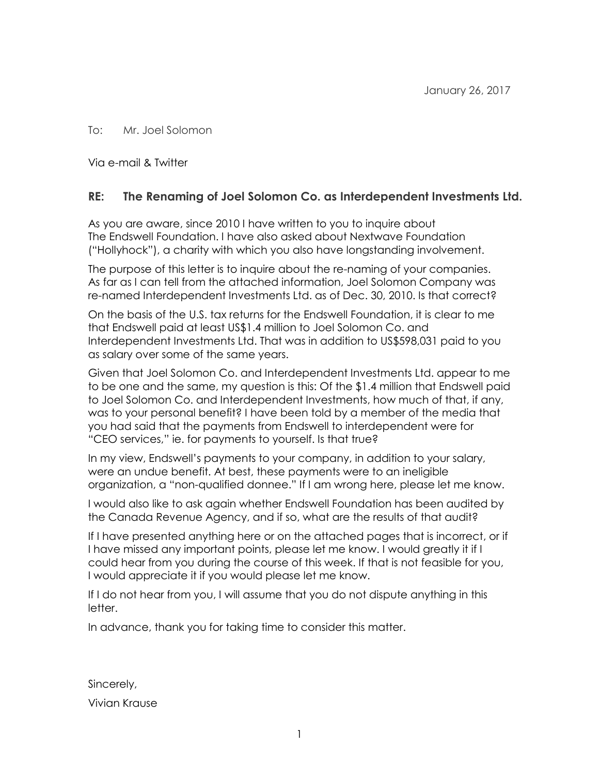#### To: Mr. Joel Solomon

Via e-mail & Twitter

#### **RE: The Renaming of Joel Solomon Co. as Interdependent Investments Ltd.**

As you are aware, since 2010 I have written to you to inquire about The Endswell Foundation. I have also asked about Nextwave Foundation ("Hollyhock"), a charity with which you also have longstanding involvement.

The purpose of this letter is to inquire about the re-naming of your companies. As far as I can tell from the attached information, Joel Solomon Company was re-named Interdependent Investments Ltd. as of Dec. 30, 2010. Is that correct?

On the basis of the U.S. tax returns for the Endswell Foundation, it is clear to me that Endswell paid at least US\$1.4 million to Joel Solomon Co. and Interdependent Investments Ltd. That was in addition to US\$598,031 paid to you as salary over some of the same years.

Given that Joel Solomon Co. and Interdependent Investments Ltd. appear to me to be one and the same, my question is this: Of the \$1.4 million that Endswell paid to Joel Solomon Co. and Interdependent Investments, how much of that, if any, was to your personal benefit? I have been told by a member of the media that you had said that the payments from Endswell to interdependent were for "CEO services," ie. for payments to yourself. Is that true?

In my view, Endswell's payments to your company, in addition to your salary, were an undue benefit. At best, these payments were to an ineligible organization, a "non-qualified donnee." If I am wrong here, please let me know.

I would also like to ask again whether Endswell Foundation has been audited by the Canada Revenue Agency, and if so, what are the results of that audit?

If I have presented anything here or on the attached pages that is incorrect, or if I have missed any important points, please let me know. I would greatly it if I could hear from you during the course of this week. If that is not feasible for you, I would appreciate it if you would please let me know.

If I do not hear from you, I will assume that you do not dispute anything in this letter.

In advance, thank you for taking time to consider this matter.

Sincerely, Vivian Krause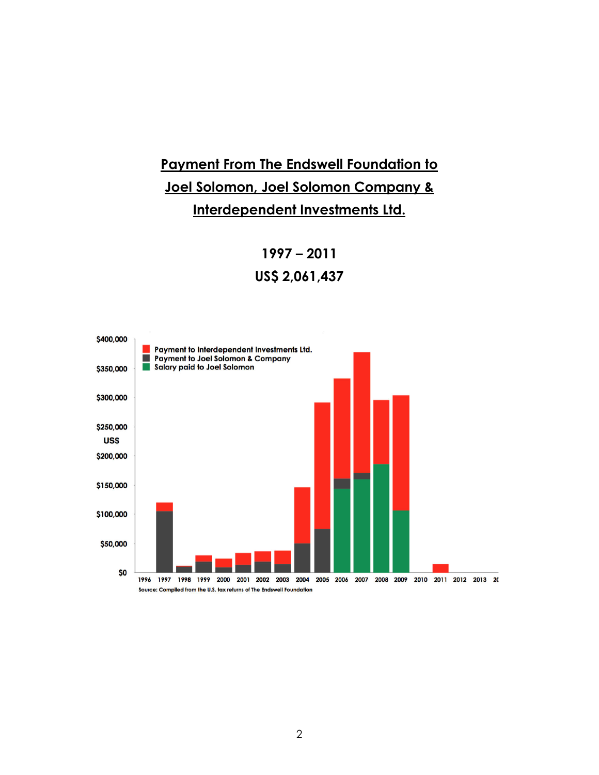# **Payment From The Endswell Foundation to Joel Solomon, Joel Solomon Company & Interdependent Investments Ltd.**

**1997 – 2011 US\$ 2,061,437** 

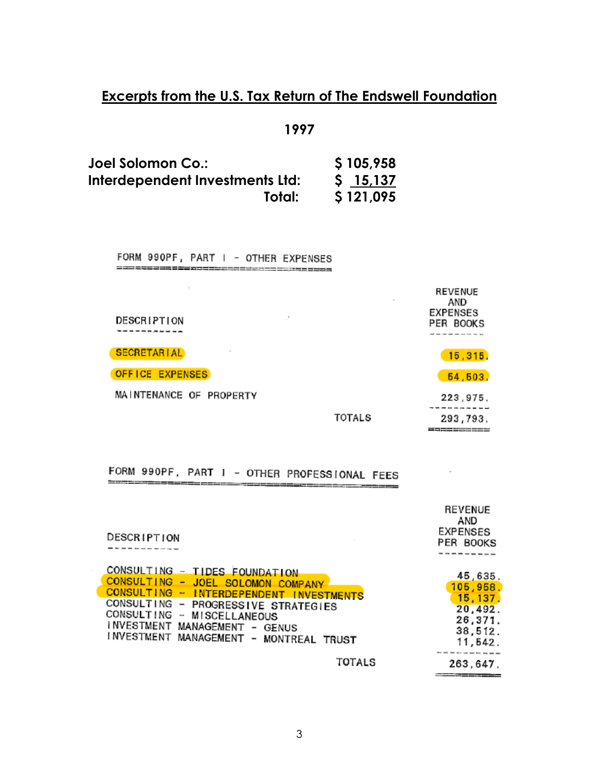**1997** 

| Joel Solomon Co.:               | \$105,958 |
|---------------------------------|-----------|
| Interdependent Investments Ltd: | \$15,137  |
| Total:                          | \$121,095 |

FORM 990PF, PART I - OTHER EXPENSES 프리프 유무료 프리프 프로프 프리프 프로그램 프로그램을 프로그램을 프로그램을 프로그램

| $\mathcal{C}$<br>DESCRIPTION | $\sim$ | <b>REVENUE</b><br>AND<br><b>EXPENSES</b><br>PER BOOKS |
|------------------------------|--------|-------------------------------------------------------|
| <b>SECRETARIAL</b><br>$\sim$ |        | 15,315.                                               |
| OFFICE EXPENSES              |        | 54,503.                                               |
| MAINTENANCE OF PROPERTY      |        | 223,975,                                              |
|                              | TOTALS | 293,793.                                              |

**WARRENCHEE** 

 $\sim$ 

#### FORM 990PF, PART I - OTHER PROFESSIONAL FEES massarika sense se

| DESCRIPTION                                                                                                                                                                                                                                                   | <b>REVENUE</b><br>AND<br><b>EXPENSES</b><br>PER BOOKS                       |
|---------------------------------------------------------------------------------------------------------------------------------------------------------------------------------------------------------------------------------------------------------------|-----------------------------------------------------------------------------|
| CONSULTING - TIDES FOUNDATION<br>CONSULTING - JOEL SOLOMON COMPANY<br>CONSULTING - INTERDEPENDENT INVESTMENTS<br>CONSULTING - PROGRESSIVE STRATEGIES<br>CONSULTING - MISCELLANEOUS<br>INVESTMENT MANAGEMENT - GENUS<br>INVESTMENT MANAGEMENT - MONTREAL TRUST | 45,635.<br>105,958.<br>15, 137.<br>20,492.<br>26,371.<br>38,512.<br>11,542. |
| TOTALS                                                                                                                                                                                                                                                        | 263,647.<br>-----------                                                     |

1225 - 2005 - 2007 - 2008 - 2008 - 2008 - 200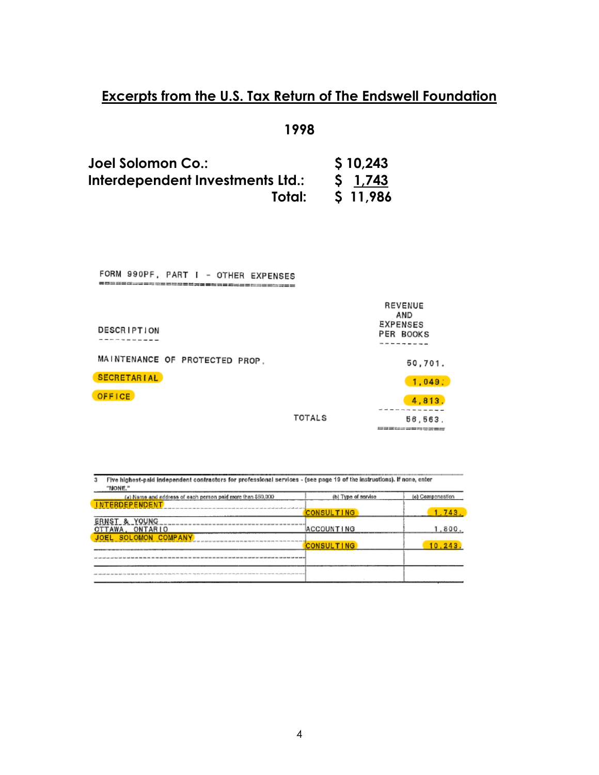**1998** 

| Joel Solomon Co.:                | \$10,243    |  |
|----------------------------------|-------------|--|
| Interdependent Investments Ltd.: | $5 \t1.743$ |  |
| Total:                           | S 11,986    |  |

| FORM 990PF, PART I - OTHER EXPENSES<br>- 이들로드 주 주제 한 달로드 역 공을 통해 중도 다음을 드립니다. |        |                                                |
|-------------------------------------------------------------------------------|--------|------------------------------------------------|
| <b>DESCRIPTION</b>                                                            |        | REVENUE<br>AND<br><b>EXPENSES</b><br>PER BOOKS |
| MAINTENANCE OF PROTECTED PROP.                                                |        | 50,701.                                        |
| <b>SECRETARIAL</b>                                                            |        | 1.049.                                         |
| <b>OFFICE</b>                                                                 |        | 4,813.                                         |
|                                                                               | TOTALS | 56,563.<br>易要要自己的要求要求重要                        |

| Five highest-paid independent contractors for professional services - (see page 19 of the instructions). If none, enter<br>"NONE." |                     |                  |
|------------------------------------------------------------------------------------------------------------------------------------|---------------------|------------------|
| (a) Name and address of each person paid more than \$50,000                                                                        | (b) Type of service | (c) Compensation |
| <b>NTERDEPENDENT</b>                                                                                                               |                     |                  |
|                                                                                                                                    | <b>CONSULTING</b>   | 1.743.           |
| <b>ERNST &amp; YOUNG</b>                                                                                                           |                     |                  |
| OTTAWA, ONTARIO                                                                                                                    | <b>ACCOUNTING</b>   | 1,800.           |
| <b>COMPANY</b><br><b>SOLOMON</b>                                                                                                   |                     |                  |
|                                                                                                                                    | <b>CONSULTING</b>   | 10, 243.         |
|                                                                                                                                    |                     |                  |
|                                                                                                                                    |                     |                  |
|                                                                                                                                    |                     |                  |
|                                                                                                                                    |                     |                  |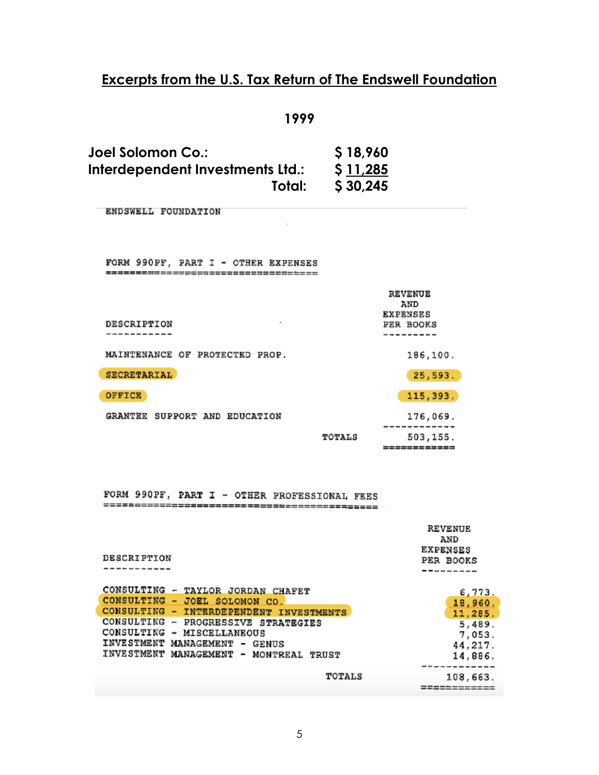|--|--|--|

| Joel Solomon Co.:                | \$18,960 |
|----------------------------------|----------|
| Interdependent Investments Ltd.: | \$11,285 |
| Total:                           | \$30,245 |

ENDSWELL FOUNDATION

FORM 990PF, PART I - OTHER EXPENSES -------------------------------------

|                                | REVENUE<br>AND<br><b>EXPENSES</b> |
|--------------------------------|-----------------------------------|
| DESCRIPTION<br>$\bullet$       | PER BOOKS                         |
|                                |                                   |
| MAINTENANCE OF PROTECTED PROP. | 186,100.                          |
| SECRETARIAL                    | 25,593.                           |
| <b>OFFICE</b>                  | 115, 393.                         |
| GRANTEE SUPPORT AND EDUCATION  | 176,069.<br>---------             |
| TOTALS                         | 503,155.                          |
|                                | ============                      |

 $\sim$ 

| DESCRIPTION                                                                                                                                                                                                                                                             | REVENUE<br>AND<br>EXPENSES<br>PER BOOKS                                             |
|-------------------------------------------------------------------------------------------------------------------------------------------------------------------------------------------------------------------------------------------------------------------------|-------------------------------------------------------------------------------------|
| CONSULTING - TAYLOR JORDAN CHAFET<br>CONSULTING - JOEL SOLOMON CO.<br>CONSULTING - INTERDEPENDENT INVESTMENTS<br>CONSULTING - PROGRESSIVE STRATEGIES<br>CONSULTING - MISCELLANEOUS<br>INVESTMENT MANAGEMENT - GENUS<br>INVESTMENT MANAGEMENT - MONTREAL TRUST<br>TOTALS | 6,773.<br>18,960.<br>11, 285.<br>5,489.<br>7,053.<br>44,217.<br>14,886.<br>108,663. |
|                                                                                                                                                                                                                                                                         |                                                                                     |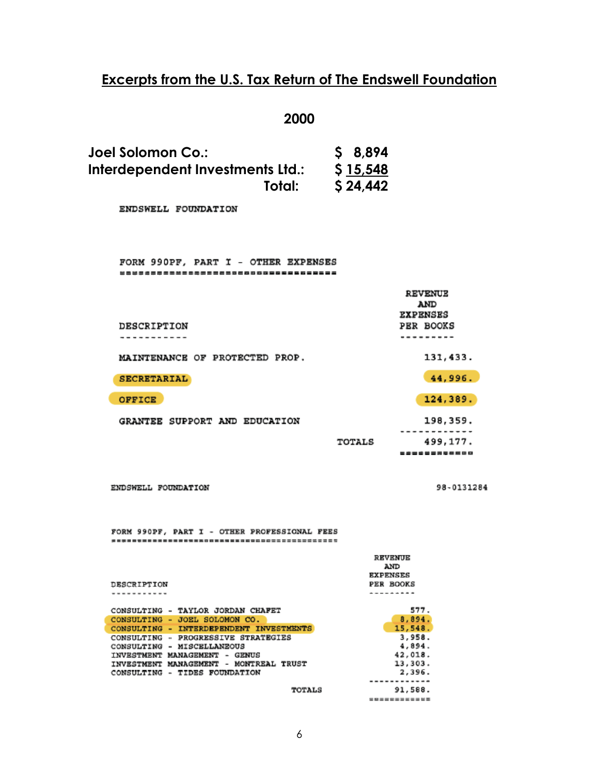#### **2000**

| Joel Solomon Co.:                          | \$8,894              |                              |
|--------------------------------------------|----------------------|------------------------------|
| Interdependent Investments Ltd.:<br>Total: | \$15,548<br>\$24,442 |                              |
| ENDSWELL FOUNDATION                        |                      |                              |
|                                            |                      |                              |
| FORM 990PF, PART I - OTHER EXPENSES<br>    |                      |                              |
|                                            |                      | <b>REVENUE</b><br>AND        |
| DESCRIPTION<br>.                           |                      | <b>EXPENSES</b><br>PER BOOKS |
| MAINTENANCE OF PROTECTED PROP.             |                      | 131,433.                     |
| <b>SECRETARIAL</b>                         |                      | 44,996.                      |
| OFFICE                                     |                      | 124,389.                     |
| GRANTEE SUPPORT AND EDUCATION              |                      | 198,359.                     |
|                                            | TOTALS               | 499,177.<br>____________     |
|                                            |                      |                              |

ENDSWELL FOUNDATION

98-0131284

|              |                                              | <b>REVENUE</b>  |
|--------------|----------------------------------------------|-----------------|
|              |                                              | AND             |
|              |                                              | <b>EXPENSES</b> |
| DESCRIPTION  |                                              | PER BOOKS       |
|              |                                              |                 |
|              |                                              |                 |
| CONSULTING   | TAYLOR JORDAN CHAFET<br>$\sim$               | 577.            |
| CONSULTING   | JOEL SOLOMON CO.<br>۰.                       | 8,894.          |
| CONSULTING - | INTERDEPENDENT INVESTMENTS                   | 15,548.         |
| CONSULTING   | PROGRESSIVE STRATEGIES<br>$\sim$             | 3.958.          |
| CONSULTING   | MISCELLANEOUS<br>$\overline{\phantom{a}}$    | 4,894.          |
|              | INVESTMENT MANAGEMENT - GENUS                | 42,018.         |
|              | INVESTMENT MANAGEMENT - MONTREAL TRUST       | 13,303.         |
| CONSULTING   | TIDES FOUNDATION<br>$\overline{\phantom{a}}$ | 2,396.          |
|              |                                              |                 |
|              | <b>TOTALS</b>                                | 91,588.         |
|              |                                              | ------------    |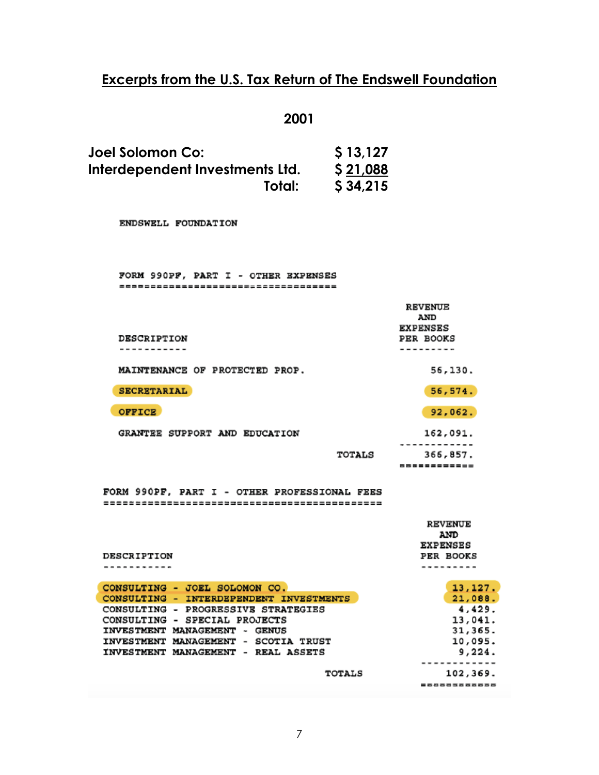### **2001**

| Joel Solomon Co:                | \$13,127 |
|---------------------------------|----------|
| Interdependent Investments Ltd. | \$21,088 |
| Total:                          | \$34,215 |

ENDSWELL FOUNDATION

| FORM 990PF, PART I - OTHER EXPENSES<br>------------------------------------ |                                                 |
|-----------------------------------------------------------------------------|-------------------------------------------------|
|                                                                             | <b>REVENUE</b><br><b>AND</b><br><b>EXPENSES</b> |
| <b>DESCRIPTION</b>                                                          | PER BOOKS                                       |
|                                                                             |                                                 |
| MAINTENANCE OF PROTECTED PROP.                                              | 56,130.                                         |
| <b>SECRETARIAL</b>                                                          | 56,574.                                         |
| <b>OFFICE</b>                                                               | 92,062.                                         |
| GRANTEE SUPPORT AND EDUCATION                                               | 162,091.                                        |
|                                                                             |                                                 |
| TOTALS                                                                      | 366,857.                                        |
|                                                                             | ------------                                    |

|                                         | <b>REVENUE</b><br><b>AND</b><br><b>EXPENSES</b> |
|-----------------------------------------|-------------------------------------------------|
| DESCRIPTION                             | PER BOOKS                                       |
|                                         |                                                 |
| CONSULTING - JOEL SOLOMON CO.           | 13, 127.                                        |
| CONSULTING - INTERDEPENDENT INVESTMENTS | 21,088.                                         |
| CONSULTING - PROGRESSIVE STRATEGIES     | 4,429.                                          |
| CONSULTING - SPECIAL PROJECTS           | 13,041.                                         |
| INVESTMENT MANAGEMENT -<br><b>GENUS</b> | 31,365.                                         |
| INVESTMENT MANAGEMENT - SCOTIA TRUST    | 10,095.                                         |
| INVESTMENT MANAGEMENT - REAL ASSETS     | 9,224.                                          |
|                                         |                                                 |
| <b>TOTALS</b>                           | 102,369.                                        |
|                                         | ============                                    |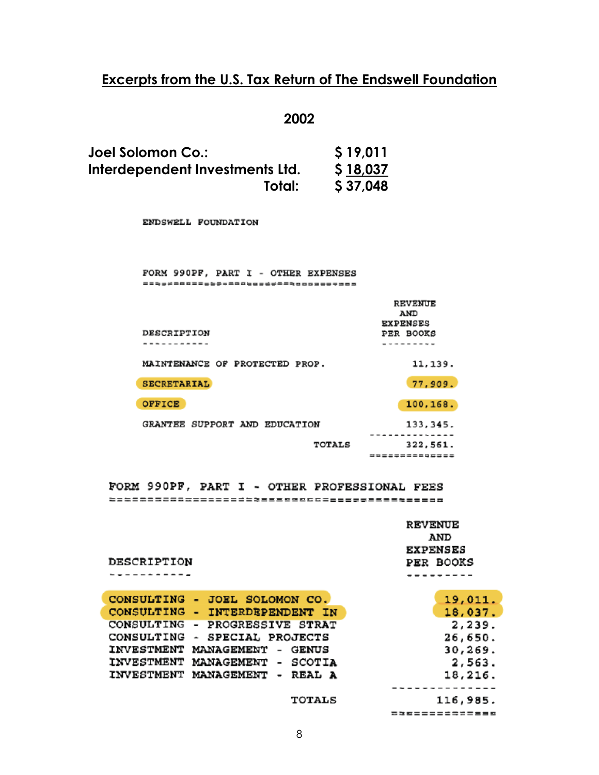**2002** 

| Joel Solomon Co.:               | \$19,011 |
|---------------------------------|----------|
| Interdependent Investments Ltd. | \$18,037 |
| Total:                          | \$37,048 |

ENDSWELL FOUNDATION

DESCRIPTION -------**---**-

| FORM 990PF, PART I - OTHER EXPENSES     |                                                       |
|-----------------------------------------|-------------------------------------------------------|
| DESCRIPTION                             | <b>REVENUE</b><br>AND<br><b>EXPENSES</b><br>PER BOOKS |
| MAINTENANCE OF PROTECTED PROP.          | 11, 139.                                              |
| <b>SECRETARIAL</b>                      | 77,909.                                               |
| OFFICE<br>GRANTEE SUPPORT AND EDUCATION | 100,168.<br>133, 345.                                 |
| <b>TOTALS</b>                           | 322,561.<br>=============                             |

FORM 990PF, PART I - OTHER PROFESSIONAL FEES 

| <b>REVENUE</b>   |  |  |  |  |
|------------------|--|--|--|--|
| AND              |  |  |  |  |
| <b>EXPENSES</b>  |  |  |  |  |
| <b>PER BOOKS</b> |  |  |  |  |
|                  |  |  |  |  |

=============

|  | CONSULTING - JOEL SOLOMON CO.  | 19,011.  |
|--|--------------------------------|----------|
|  | CONSULTING - INTERDEPENDENT IN | 18,037.  |
|  | CONSULTING - PROGRESSIVE STRAT | 2,239.   |
|  | CONSULTING - SPECIAL PROJECTS  | 26,650.  |
|  | INVESTMENT MANAGEMENT - GENUS  | 30,269.  |
|  | INVESTMENT MANAGEMENT - SCOTIA | 2,563.   |
|  | INVESTMENT MANAGEMENT - REAL A | 18,216.  |
|  |                                |          |
|  | <b>TOTALS</b>                  | 116,985. |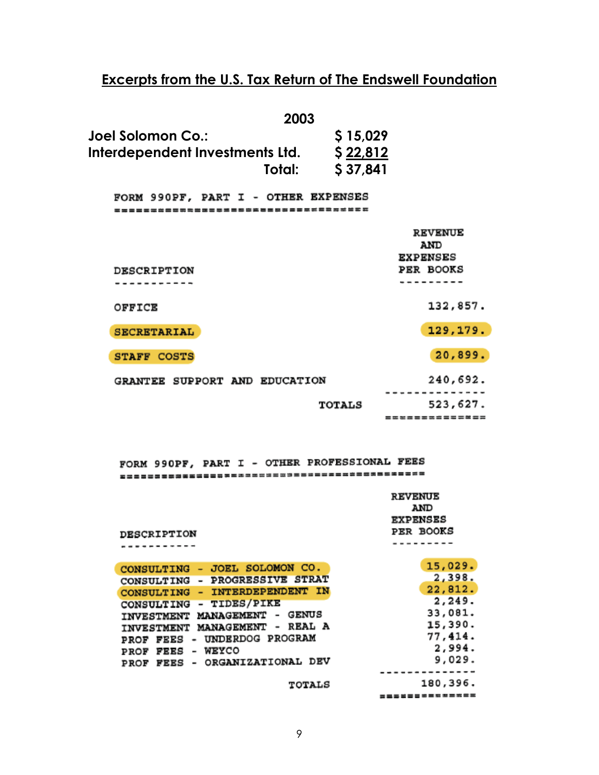| 2003                                |               |                              |
|-------------------------------------|---------------|------------------------------|
| Joel Solomon Co.:                   | \$15,029      |                              |
| Interdependent Investments Ltd.     | \$22,812      |                              |
| Total:                              | \$37,841      |                              |
| FORM 990PF, PART I - OTHER EXPENSES |               |                              |
| ----------------------              |               |                              |
|                                     |               | <b>REVENUE</b>               |
|                                     |               | AND                          |
| <b>DESCRIPTION</b>                  |               | <b>EXPENSES</b><br>PER BOOKS |
|                                     |               |                              |
| OFFICE                              |               | 132,857.                     |
| <b>SECRETARIAL</b>                  |               | 129,179.                     |
| <b>STAFF COSTS</b>                  |               | 20,899.                      |
| GRANTEE SUPPORT AND EDUCATION       |               | 240,692.                     |
|                                     | <b>TOTALS</b> | 523,627.                     |
|                                     |               | ==============               |

|                                                                                     | <b>REVENUE</b><br><b>AND</b> |  |
|-------------------------------------------------------------------------------------|------------------------------|--|
|                                                                                     | <b>EXPENSES</b>              |  |
| <b>DESCRIPTION</b>                                                                  | PER BOOKS                    |  |
|                                                                                     |                              |  |
|                                                                                     |                              |  |
| JOEL SOLOMON CO.<br>CONSULTING<br>$\overline{\phantom{0}}$                          | 15,029.                      |  |
| PROGRESSIVE STRAT<br><b>CONSULTING</b>                                              | 2,398.                       |  |
| INTERDEPENDENT IN<br><b>CONSULTING</b><br>۰                                         | 22,812.                      |  |
| - TIDES/PIKE<br><b>CONSULTING</b>                                                   | 2,249.                       |  |
| <b>GENUS</b><br><b>MANAGEMENT</b><br>٠<br><b>INVESTMENT</b>                         | 33,081.                      |  |
| <b>REAL A</b><br><b>MANAGEMENT</b><br>$\overline{\phantom{a}}$<br><b>INVESTMENT</b> | 15,390.                      |  |
| UNDERDOG PROGRAM<br>FEES<br>PROF                                                    | 77,414.                      |  |
| WEYCO<br><b>FEES</b><br>PROF                                                        | 2,994.                       |  |
| ORGANIZATIONAL DEV<br>FEES<br>PROF                                                  | 9,029.                       |  |
|                                                                                     |                              |  |
| <b>TOTALS</b>                                                                       | 180,396.                     |  |
|                                                                                     | --------------               |  |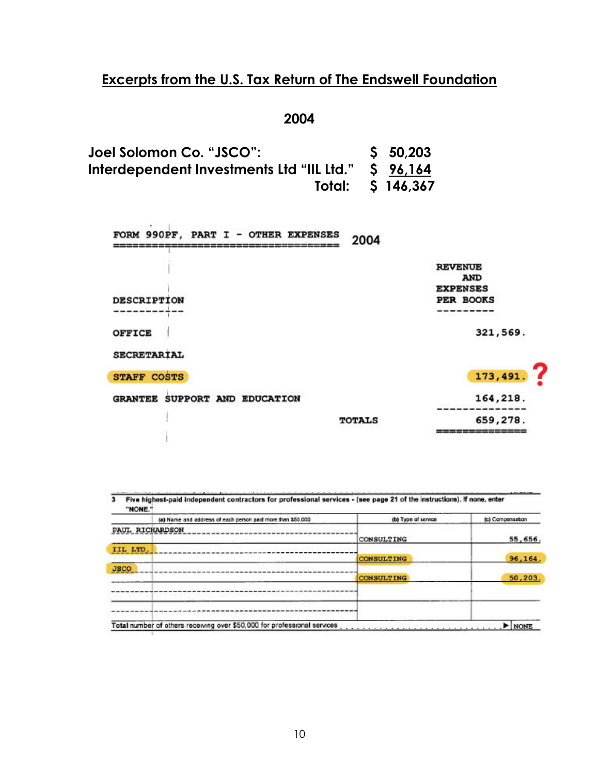**2004** 

**Joel Solomon Co. "JSCO": \$ 50,203 Interdependent Investments Ltd "IIL Ltd." \$ 96,164 Total: \$ 146,367** 

| FORM 990PF, PART I - OTHER EXPENSES     | 2004          |                                                          |
|-----------------------------------------|---------------|----------------------------------------------------------|
|                                         |               | <b>REVENUE</b>                                           |
|                                         |               | <b>AND</b>                                               |
|                                         |               | <b>EXPENSES</b>                                          |
| <b>DESCRIPTION</b>                      |               | PER BOOKS                                                |
|                                         |               |                                                          |
| <b>OFFICE</b>                           |               | 321,569.                                                 |
| <b>SECRETARIAL</b>                      |               |                                                          |
| <b>STAFF COSTS</b>                      |               | 173,491.                                                 |
| SUPPORT AND EDUCATION<br><b>GRANTEE</b> |               | 164,218.                                                 |
|                                         | <b>TOTALS</b> | 659,278.                                                 |
|                                         |               | we we had not you we were sixthat the statement with the |

5 Five highest-paid independent contractors for professional services - (see page 21 of the instructions). If none, enter "NONE."

|                 | (a) Name and address of each person paid more than \$50,000 | (b) Type of service | (c) Compensation |
|-----------------|-------------------------------------------------------------|---------------------|------------------|
| PAUL RICHARDSON |                                                             |                     |                  |
|                 |                                                             | CONSULTING          | 55,656.          |
| IIL LTD.        |                                                             |                     |                  |
|                 |                                                             | <b>CONSULTING</b>   | 96,164.          |
| <b>JSCO</b>     |                                                             |                     |                  |
|                 |                                                             | <b>CONSULTING</b>   | 50,203.          |
|                 |                                                             |                     |                  |
|                 |                                                             |                     |                  |
|                 |                                                             |                     |                  |
|                 |                                                             |                     |                  |
|                 |                                                             |                     | NONE             |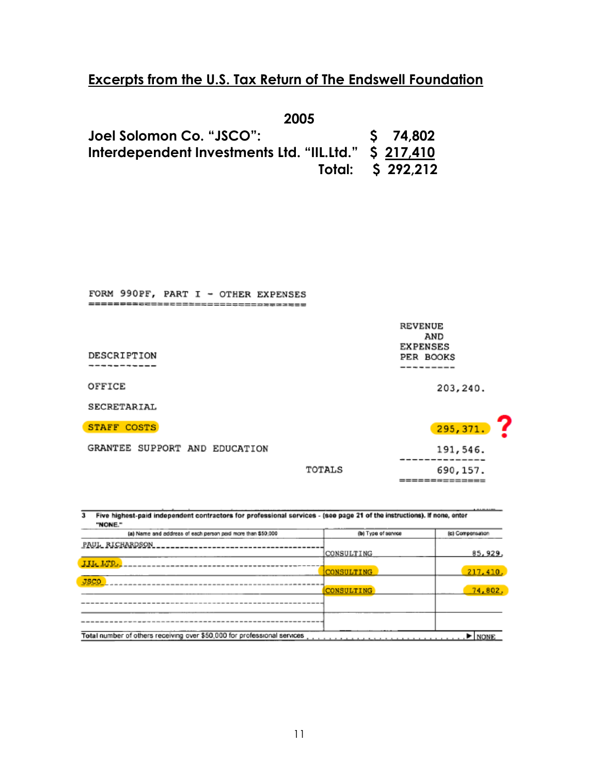| 2005                                                  |                   |
|-------------------------------------------------------|-------------------|
| Joel Solomon Co. "JSCO":                              | S 74,802          |
| Interdependent Investments Ltd. "IIL.Ltd." \$ 217,410 |                   |
|                                                       | Total: \$ 292,212 |

| FORM 990PF, PART I - OTHER EXPENSES |        |                       |
|-------------------------------------|--------|-----------------------|
|                                     |        |                       |
|                                     |        | <b>REVENUE</b><br>AND |
|                                     |        | <b>EXPENSES</b>       |
| DESCRIPTION                         |        | PER BOOKS             |
|                                     |        | --------              |
| OFFICE                              |        | 203,240.              |
| SECRETARIAL                         |        |                       |
| <b>STAFF COSTS</b>                  |        | 295, 371.             |
| GRANTEE SUPPORT AND EDUCATION       |        | 191,546.              |
|                                     | TOTALS | 690, 157.             |
|                                     |        |                       |

==============

| (a) Name and address of each person paid more than \$50,000 | (b) Type of service | (c) Compensation |
|-------------------------------------------------------------|---------------------|------------------|
| PAUL RICHARDSON                                             |                     |                  |
|                                                             | CONSULTING          | 85, 929.         |
| <b>HILLTD.</b>                                              |                     |                  |
|                                                             | <b>CONSULTING</b>   | 217,410,         |
| <b>JSCO</b>                                                 |                     |                  |
|                                                             | <b>CONSULTING</b>   | 74,802.          |
|                                                             |                     |                  |
|                                                             |                     |                  |
|                                                             |                     |                  |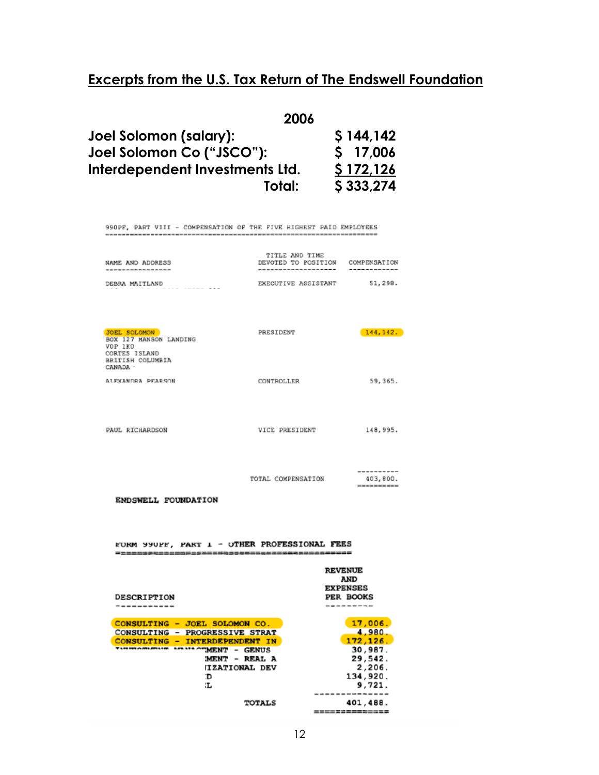| 2006                            |           |
|---------------------------------|-----------|
| Joel Solomon (salary):          | \$144,142 |
| Joel Solomon Co ("JSCO"):       | \$17,006  |
| Interdependent Investments Ltd. | \$172,126 |
| Total:                          | \$333,274 |

990PF, PART VIII - COMPENSATION OF THE FIVE HIGHEST PAID EMPLOYEES 

| NAME AND ADDRESS                                                                                   | TITLE AND TIME<br>DEVOTED TO POSITION | COMPENSATION                                                              |
|----------------------------------------------------------------------------------------------------|---------------------------------------|---------------------------------------------------------------------------|
| DEBRA MAITLAND                                                                                     | EXECUTIVE ASSISTANT                   | 51,298.                                                                   |
| JOEL SOLOMON<br>BOX 127 MANSON LANDING<br>VOP 1KO<br>CORTES ISLAND<br>BRITISH COLUMBIA<br>CANADA : | PRESIDENT                             | 144, 142.                                                                 |
| ALEXANDRA PEARSON                                                                                  | CONTROLLER                            | 59,365.                                                                   |
| PAUL RICHARDSON                                                                                    | VICE PRESIDENT                        | 148,995.                                                                  |
| ENDSWELL FOUNDATION                                                                                | TOTAL COMPENSATION                    | ---------<br>403,800.<br>==========                                       |
| FORM 990FF, PART 1 - OTHER PROFESSIONAL FEES                                                       |                                       |                                                                           |
| <b>DESCRIPTION</b><br>-----------                                                                  |                                       | <b>REVENUE</b><br><b>AND</b><br><b>EXPENSES</b><br>PER BOOKS<br>--------- |
| CONSULTING - JOEL SOLOMON CO.                                                                      |                                       | 17,006.                                                                   |
| CONSULTING - PROGRESSIVE STRAT<br>CONSULTING - INTERDEPENDENT IN                                   |                                       | $-4,980.$<br>172, 126.                                                    |
| <b>IMAGINATION APAIL OF MENT - GENUS</b>                                                           |                                       | 30,987.                                                                   |
| MENT - REAL A                                                                                      |                                       | 29,542.                                                                   |
| <b>ITZATIONAL DEV</b><br>ď                                                                         |                                       | 2,206.<br>134,920.                                                        |
| ïЬ.                                                                                                |                                       | 9,721.                                                                    |
|                                                                                                    | <b>TOTALS</b>                         | --------------<br>401,488.                                                |
|                                                                                                    |                                       | <b>=============</b>                                                      |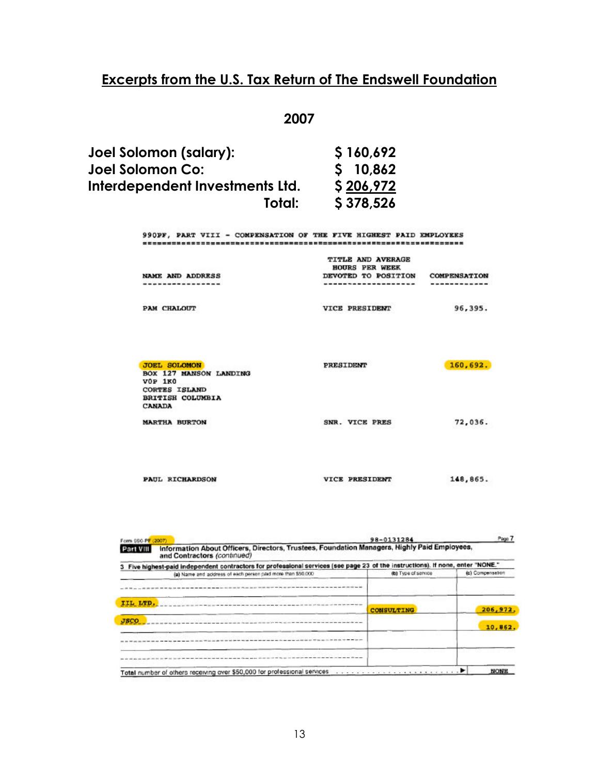#### **2007**

| Joel Solomon (salary):          | \$160,692 |
|---------------------------------|-----------|
| Joel Solomon Co:                | S 10.862  |
| Interdependent Investments Ltd. | \$206,972 |
| Total:                          | \$378,526 |

990PF, PART VIII - COMPENSATION OF THE FIVE HIGHEST PAID EMPLOYEES 

| NAME AND ADDRESS                              | <b>TITLE AND AVERAGE</b><br><b>HOURS PER WEEK</b><br>DEVOTED TO POSITION | <b>COMPENSATION</b> |
|-----------------------------------------------|--------------------------------------------------------------------------|---------------------|
| -------------                                 | ---------------                                                          | ----------          |
| <b>PAM CHALOUT</b>                            | しゅうしん きかいしゅん じゅうしき にゅうしょうけいしょ<br><b>VICE PRESIDENT</b>                   | 96,395.             |
| <b>JOEL SOLOMON</b><br>BOX 127 MANSON LANDING | <b>PRESIDENT</b>                                                         | 160,692.            |
| $VOP$ 1 $KO$<br><b>CORTES ISLAND</b>          |                                                                          |                     |

| <b>BRITISH COLUMBIA</b><br>CANADA |                       |          |  |
|-----------------------------------|-----------------------|----------|--|
| <b>MARTHA BURTON</b>              | SNR. VICE PRES        | 72,036.  |  |
| <b>PAUL RICHARDSON</b>            | <b>VICE PRESIDENT</b> | 148,865. |  |

| Form 990-PF (2007) |                                                                                                                               | 98-0131284          | Page 7           |
|--------------------|-------------------------------------------------------------------------------------------------------------------------------|---------------------|------------------|
| Part VIII          | Information About Officers, Directors, Trustees, Foundation Managers, Highly Paid Employees,<br>and Contractors (continued)   |                     |                  |
|                    | Five highest-paid independent contractors for professional services (see page 23 of the instructions). If none, enter "NONE." |                     |                  |
|                    | (a) Name and address of each person paid more than \$50,000.                                                                  | (b) Type of service | (c) Compensation |
|                    |                                                                                                                               |                     |                  |
| IIL LTD.           |                                                                                                                               | CONSULTING          | 206,972.         |
| <b>JSCO</b>        |                                                                                                                               |                     | 10,862.          |
|                    |                                                                                                                               |                     |                  |
|                    |                                                                                                                               |                     |                  |
|                    | Total number of others receiving over \$50,000 for professional services enteries and contact the service of the              |                     | <b>NONE</b>      |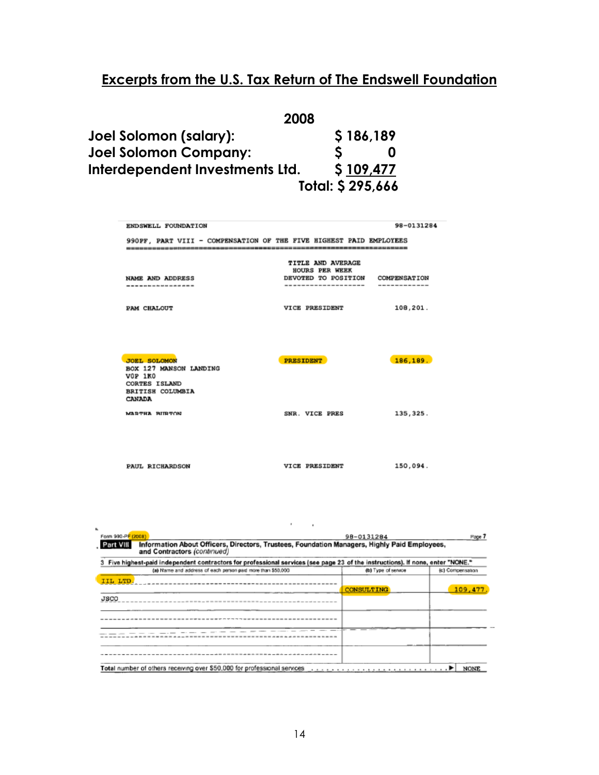| 2008                            |                  |
|---------------------------------|------------------|
| Joel Solomon (salary):          | \$186,189        |
| <b>Joel Solomon Company:</b>    |                  |
| Interdependent Investments Ltd. | \$109,477        |
|                                 | Total: \$295,666 |

| ENDSWELL FOUNDATION                                                                                                   |                                                                                                 | 98-0131284                   |
|-----------------------------------------------------------------------------------------------------------------------|-------------------------------------------------------------------------------------------------|------------------------------|
| 990PF, PART VIII - COMPENSATION OF THE FIVE HIGHEST PAID EMPLOYEES                                                    |                                                                                                 |                              |
| <b>NAME AND ADDRESS</b><br>----------------                                                                           | <b>TITLE AND AVERAGE</b><br><b>HOURS PER WEEK</b><br>DEVOTED TO POSITION<br>------------------- | COMPENSATION<br>------------ |
| PAM CHALOUT                                                                                                           | VICE PRESIDENT                                                                                  | 108,201.                     |
| <b>JOEL SOLOMON</b><br>BOX 127 MANSON LANDING<br><b>VOP 1KO</b><br><b>CORTES ISLAND</b><br>BRITISH COLUMBIA<br>CANADA | <b>PRESIDENT</b>                                                                                | 186,189.                     |
| MARTHA BURTON                                                                                                         | SNR. VICE PRES                                                                                  | 135, 325.                    |
|                                                                                                                       |                                                                                                 |                              |
| <b>PAUL RICHARDSON</b>                                                                                                | VICE PRESIDENT                                                                                  | 150,094.                     |

| Five highest-paid independent contractors for professional services (see page 23 of the instructions). If none, enter "NONE."<br>(c) Compensation |
|---------------------------------------------------------------------------------------------------------------------------------------------------|
|                                                                                                                                                   |
|                                                                                                                                                   |
|                                                                                                                                                   |
|                                                                                                                                                   |
| 109,477                                                                                                                                           |
|                                                                                                                                                   |
|                                                                                                                                                   |
|                                                                                                                                                   |
|                                                                                                                                                   |
|                                                                                                                                                   |
|                                                                                                                                                   |
|                                                                                                                                                   |
|                                                                                                                                                   |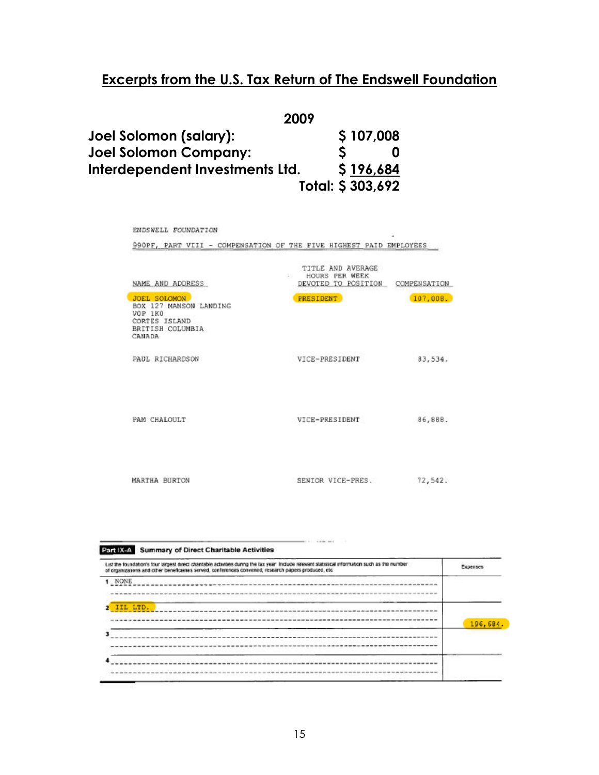| 2009                            |                  |
|---------------------------------|------------------|
| Joel Solomon (salary):          | \$107,008        |
| Joel Solomon Company:           |                  |
| Interdependent Investments Ltd. | \$196,684        |
|                                 | Total: \$303,692 |

| TITLE AND AVERAGE<br>HOURS PER WEEK | COMPENSATION        |
|-------------------------------------|---------------------|
| <b>PRESIDENT</b>                    | 107,008.            |
| VICE-PRESIDENT                      | 83,534.             |
| VICE-PRESIDENT                      | 86,888.             |
|                                     | DEVOTED TO POSITION |

| List the foundation's four largest direct chantable activities during the tax year. Include relevant statistical information such as the number<br>of organizations and other beneficianes served, conferences convened, research papers produced, etc. | Expenses |
|---------------------------------------------------------------------------------------------------------------------------------------------------------------------------------------------------------------------------------------------------------|----------|
| NONE                                                                                                                                                                                                                                                    |          |
| IIL LTD.                                                                                                                                                                                                                                                | 196,684. |
|                                                                                                                                                                                                                                                         |          |
|                                                                                                                                                                                                                                                         |          |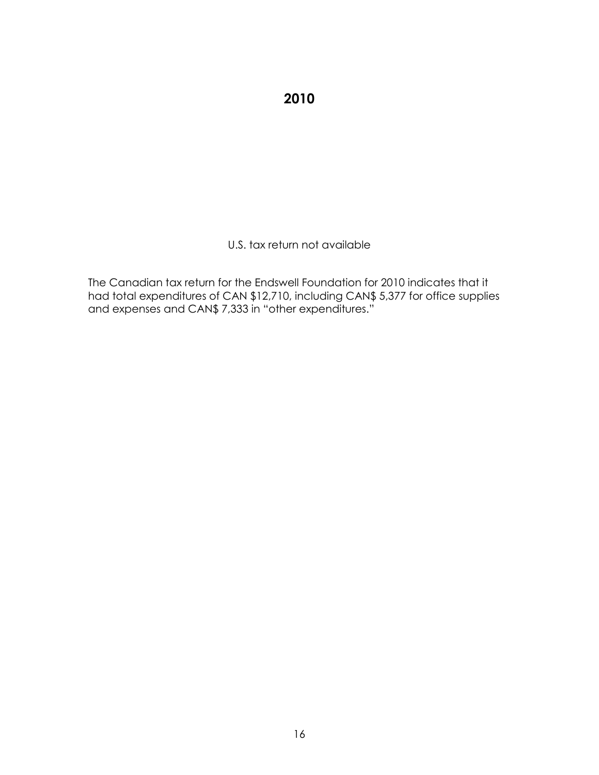**2010** 

U.S. tax return not available

The Canadian tax return for the Endswell Foundation for 2010 indicates that it had total expenditures of CAN \$12,710, including CAN\$ 5,377 for office supplies and expenses and CAN\$ 7,333 in "other expenditures."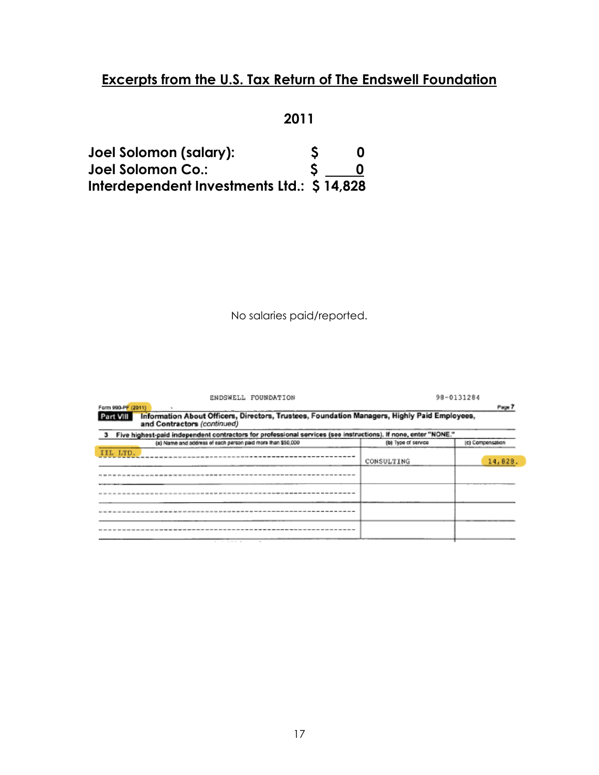### **2011**

| Joel Solomon (salary):                    | S |  |
|-------------------------------------------|---|--|
| Joel Solomon Co.:                         |   |  |
| Interdependent Investments Ltd.: \$14,828 |   |  |

No salaries paid/reported.

| ENDSWELL FOUNDATION                                                                                                                                                                                                                                          |            | 98-0131284 |  |  |
|--------------------------------------------------------------------------------------------------------------------------------------------------------------------------------------------------------------------------------------------------------------|------------|------------|--|--|
| Farm 990-PF (2011)                                                                                                                                                                                                                                           |            | Page 7     |  |  |
| Information About Officers, Directors, Trustees, Foundation Managers, Highly Paid Employees,<br>Part VIII<br>and Contractors (continued)<br>3 Five highest-paid independent contractors for professional services (see instructions). If none, enter "NONE." |            |            |  |  |
|                                                                                                                                                                                                                                                              |            |            |  |  |
| IIL LTD.                                                                                                                                                                                                                                                     | CONSULTING | 14,828.    |  |  |
|                                                                                                                                                                                                                                                              |            |            |  |  |
|                                                                                                                                                                                                                                                              |            |            |  |  |
|                                                                                                                                                                                                                                                              |            |            |  |  |
|                                                                                                                                                                                                                                                              |            |            |  |  |
|                                                                                                                                                                                                                                                              |            |            |  |  |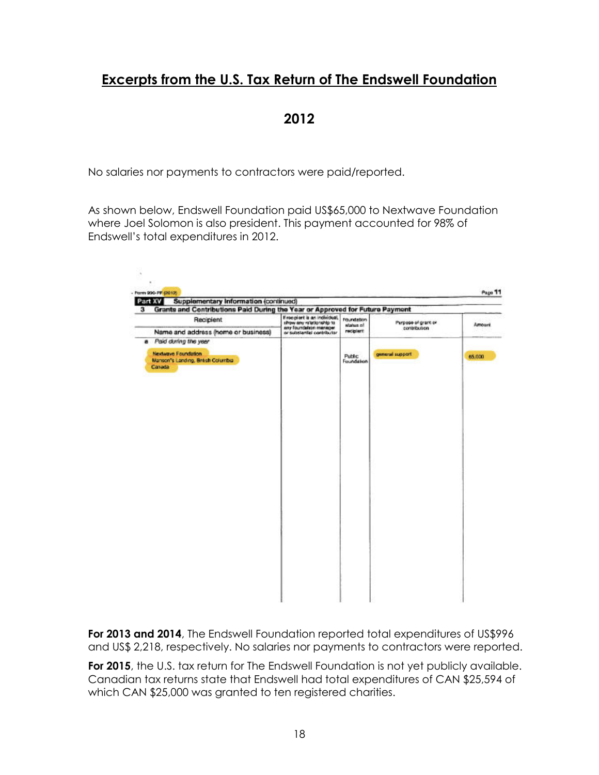**2012** 

No salaries nor payments to contractors were paid/reported.

As shown below, Endswell Foundation paid US\$65,000 to Nextwave Foundation where Joel Solomon is also president. This payment accounted for 98% of Endswell's total expenditures in 2012.

|                                                                                            | Supplementary Information (continued)<br>Grants and Contributions Paid During the Year or Approved for Future Payment<br>з |                                    |                                     |        |  |  |
|--------------------------------------------------------------------------------------------|----------------------------------------------------------------------------------------------------------------------------|------------------------------------|-------------------------------------|--------|--|--|
| Recipient                                                                                  | If recipient is an individual,<br>show any relationship to<br>any foundation manager.                                      | Foundation<br><b>Nature of</b>     | Purpose of grant or<br>contribution | Amount |  |  |
| Name and address (home or business)                                                        | or substantial contributor                                                                                                 | recipient                          |                                     |        |  |  |
| Paid during the year<br>Nextwave Foundation.<br>Manson's Landing, Bresh Columbia<br>Canada |                                                                                                                            | <b>Public</b><br><b>Foundation</b> | general support                     | 65,000 |  |  |
|                                                                                            |                                                                                                                            |                                    |                                     |        |  |  |
|                                                                                            |                                                                                                                            |                                    |                                     |        |  |  |
|                                                                                            |                                                                                                                            |                                    |                                     |        |  |  |
|                                                                                            |                                                                                                                            |                                    |                                     |        |  |  |
|                                                                                            |                                                                                                                            |                                    |                                     |        |  |  |
|                                                                                            |                                                                                                                            |                                    |                                     |        |  |  |
|                                                                                            |                                                                                                                            |                                    |                                     |        |  |  |
|                                                                                            |                                                                                                                            |                                    |                                     |        |  |  |
|                                                                                            |                                                                                                                            |                                    |                                     |        |  |  |

For 2013 and 2014, The Endswell Foundation reported total expenditures of US\$996 and US\$ 2,218, respectively. No salaries nor payments to contractors were reported.

For 2015, the U.S. tax return for The Endswell Foundation is not yet publicly available. Canadian tax returns state that Endswell had total expenditures of CAN \$25,594 of which CAN \$25,000 was granted to ten registered charities.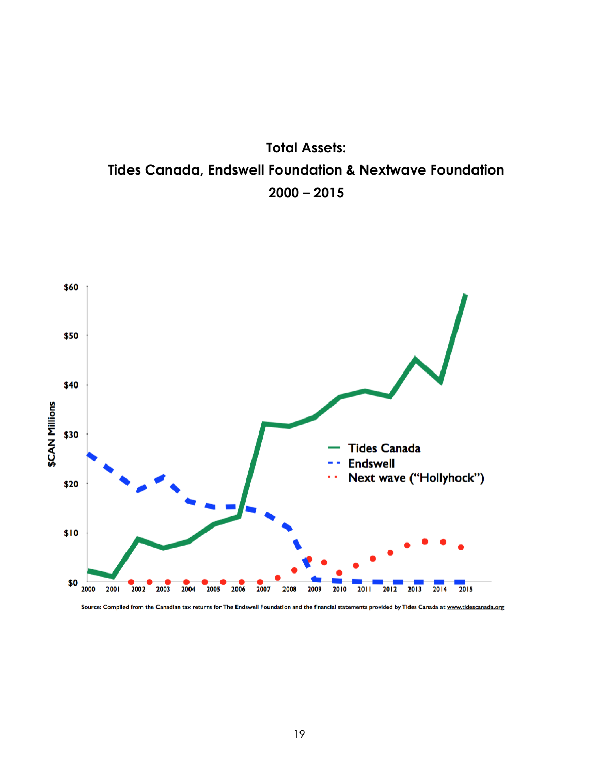



Source: Compiled from the Canadian tax returns for The Endswell Foundation and the financial statements provided by Tides Canada at www.tidescanada.org